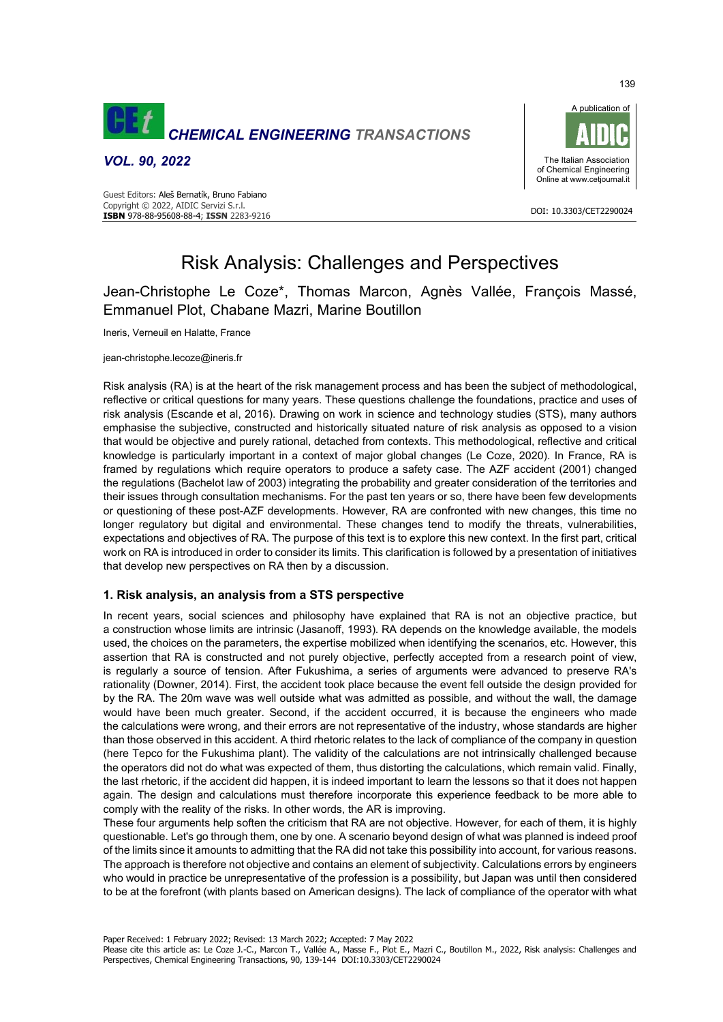

*VOL. 90, 2022* 





# Risk Analysis: Challenges and Perspectives

Jean-Christophe Le Coze\*, Thomas Marcon, Agnès Vallée, François Massé, Emmanuel Plot, Chabane Mazri, Marine Boutillon

Ineris, Verneuil en Halatte, France

jean-christophe.lecoze@ineris.fr

Risk analysis (RA) is at the heart of the risk management process and has been the subject of methodological, reflective or critical questions for many years. These questions challenge the foundations, practice and uses of risk analysis (Escande et al, 2016). Drawing on work in science and technology studies (STS), many authors emphasise the subjective, constructed and historically situated nature of risk analysis as opposed to a vision that would be objective and purely rational, detached from contexts. This methodological, reflective and critical knowledge is particularly important in a context of major global changes (Le Coze, 2020). In France, RA is framed by regulations which require operators to produce a safety case. The AZF accident (2001) changed the regulations (Bachelot law of 2003) integrating the probability and greater consideration of the territories and their issues through consultation mechanisms. For the past ten years or so, there have been few developments or questioning of these post-AZF developments. However, RA are confronted with new changes, this time no longer regulatory but digital and environmental. These changes tend to modify the threats, vulnerabilities, expectations and objectives of RA. The purpose of this text is to explore this new context. In the first part, critical work on RA is introduced in order to consider its limits. This clarification is followed by a presentation of initiatives that develop new perspectives on RA then by a discussion.

# **1. Risk analysis, an analysis from a STS perspective**

In recent years, social sciences and philosophy have explained that RA is not an objective practice, but a construction whose limits are intrinsic (Jasanoff, 1993). RA depends on the knowledge available, the models used, the choices on the parameters, the expertise mobilized when identifying the scenarios, etc. However, this assertion that RA is constructed and not purely objective, perfectly accepted from a research point of view, is regularly a source of tension. After Fukushima, a series of arguments were advanced to preserve RA's rationality (Downer, 2014). First, the accident took place because the event fell outside the design provided for by the RA. The 20m wave was well outside what was admitted as possible, and without the wall, the damage would have been much greater. Second, if the accident occurred, it is because the engineers who made the calculations were wrong, and their errors are not representative of the industry, whose standards are higher than those observed in this accident. A third rhetoric relates to the lack of compliance of the company in question (here Tepco for the Fukushima plant). The validity of the calculations are not intrinsically challenged because the operators did not do what was expected of them, thus distorting the calculations, which remain valid. Finally, the last rhetoric, if the accident did happen, it is indeed important to learn the lessons so that it does not happen again. The design and calculations must therefore incorporate this experience feedback to be more able to comply with the reality of the risks. In other words, the AR is improving.

These four arguments help soften the criticism that RA are not objective. However, for each of them, it is highly questionable. Let's go through them, one by one. A scenario beyond design of what was planned is indeed proof of the limits since it amounts to admitting that the RA did not take this possibility into account, for various reasons. The approach is therefore not objective and contains an element of subjectivity. Calculations errors by engineers who would in practice be unrepresentative of the profession is a possibility, but Japan was until then considered to be at the forefront (with plants based on American designs). The lack of compliance of the operator with what

139

Please cite this article as: Le Coze J.-C., Marcon T., Vallée A., Masse F., Plot E., Mazri C., Boutillon M., 2022, Risk analysis: Challenges and Perspectives, Chemical Engineering Transactions, 90, 139-144 DOI:10.3303/CET2290024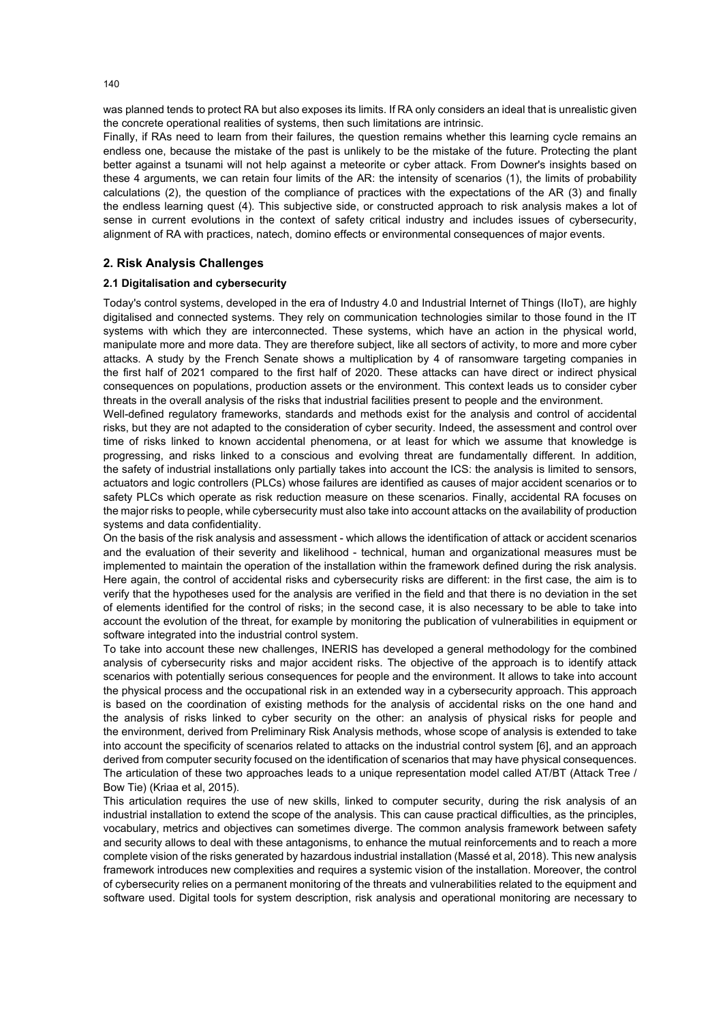was planned tends to protect RA but also exposes its limits. If RA only considers an ideal that is unrealistic given the concrete operational realities of systems, then such limitations are intrinsic.

Finally, if RAs need to learn from their failures, the question remains whether this learning cycle remains an endless one, because the mistake of the past is unlikely to be the mistake of the future. Protecting the plant better against a tsunami will not help against a meteorite or cyber attack. From Downer's insights based on these 4 arguments, we can retain four limits of the AR: the intensity of scenarios (1), the limits of probability calculations (2), the question of the compliance of practices with the expectations of the AR (3) and finally the endless learning quest (4). This subjective side, or constructed approach to risk analysis makes a lot of sense in current evolutions in the context of safety critical industry and includes issues of cybersecurity, alignment of RA with practices, natech, domino effects or environmental consequences of major events.

# **2. Risk Analysis Challenges**

### **2.1 Digitalisation and cybersecurity**

Today's control systems, developed in the era of Industry 4.0 and Industrial Internet of Things (IIoT), are highly digitalised and connected systems. They rely on communication technologies similar to those found in the IT systems with which they are interconnected. These systems, which have an action in the physical world, manipulate more and more data. They are therefore subject, like all sectors of activity, to more and more cyber attacks. A study by the French Senate shows a multiplication by 4 of ransomware targeting companies in the first half of 2021 compared to the first half of 2020. These attacks can have direct or indirect physical consequences on populations, production assets or the environment. This context leads us to consider cyber threats in the overall analysis of the risks that industrial facilities present to people and the environment.

Well-defined regulatory frameworks, standards and methods exist for the analysis and control of accidental risks, but they are not adapted to the consideration of cyber security. Indeed, the assessment and control over time of risks linked to known accidental phenomena, or at least for which we assume that knowledge is progressing, and risks linked to a conscious and evolving threat are fundamentally different. In addition, the safety of industrial installations only partially takes into account the ICS: the analysis is limited to sensors, actuators and logic controllers (PLCs) whose failures are identified as causes of major accident scenarios or to safety PLCs which operate as risk reduction measure on these scenarios. Finally, accidental RA focuses on the major risks to people, while cybersecurity must also take into account attacks on the availability of production systems and data confidentiality.

On the basis of the risk analysis and assessment - which allows the identification of attack or accident scenarios and the evaluation of their severity and likelihood - technical, human and organizational measures must be implemented to maintain the operation of the installation within the framework defined during the risk analysis. Here again, the control of accidental risks and cybersecurity risks are different: in the first case, the aim is to verify that the hypotheses used for the analysis are verified in the field and that there is no deviation in the set of elements identified for the control of risks; in the second case, it is also necessary to be able to take into account the evolution of the threat, for example by monitoring the publication of vulnerabilities in equipment or software integrated into the industrial control system.

To take into account these new challenges, INERIS has developed a general methodology for the combined analysis of cybersecurity risks and major accident risks. The objective of the approach is to identify attack scenarios with potentially serious consequences for people and the environment. It allows to take into account the physical process and the occupational risk in an extended way in a cybersecurity approach. This approach is based on the coordination of existing methods for the analysis of accidental risks on the one hand and the analysis of risks linked to cyber security on the other: an analysis of physical risks for people and the environment, derived from Preliminary Risk Analysis methods, whose scope of analysis is extended to take into account the specificity of scenarios related to attacks on the industrial control system [6], and an approach derived from computer security focused on the identification of scenarios that may have physical consequences. The articulation of these two approaches leads to a unique representation model called AT/BT (Attack Tree / Bow Tie) (Kriaa et al, 2015).

This articulation requires the use of new skills, linked to computer security, during the risk analysis of an industrial installation to extend the scope of the analysis. This can cause practical difficulties, as the principles, vocabulary, metrics and objectives can sometimes diverge. The common analysis framework between safety and security allows to deal with these antagonisms, to enhance the mutual reinforcements and to reach a more complete vision of the risks generated by hazardous industrial installation (Massé et al, 2018). This new analysis framework introduces new complexities and requires a systemic vision of the installation. Moreover, the control of cybersecurity relies on a permanent monitoring of the threats and vulnerabilities related to the equipment and software used. Digital tools for system description, risk analysis and operational monitoring are necessary to

140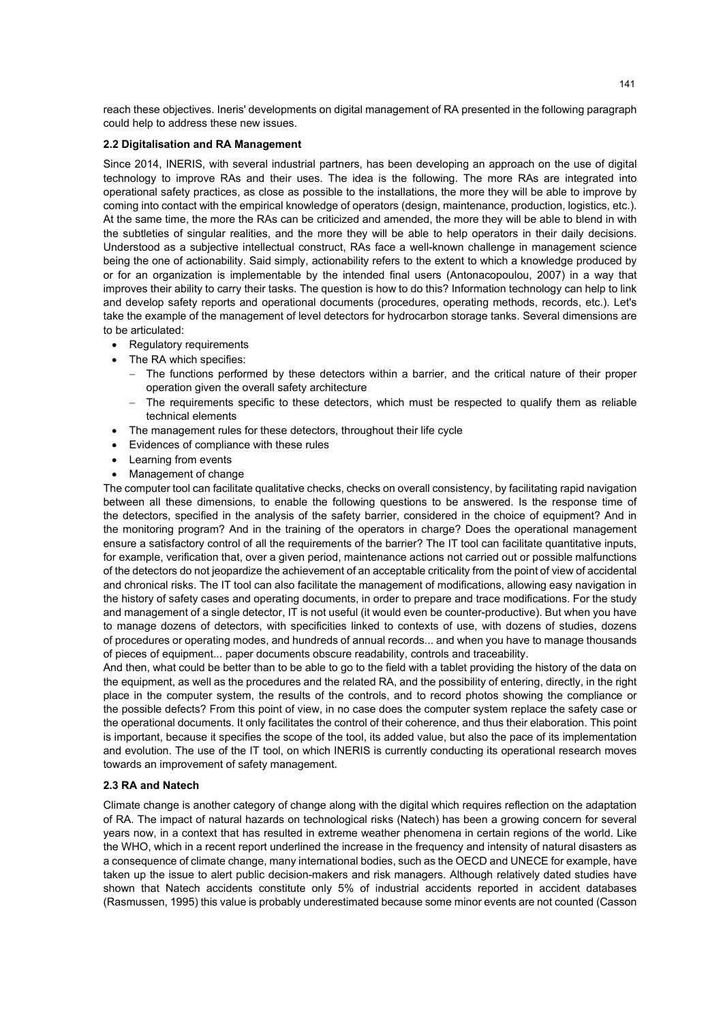reach these objectives. Ineris' developments on digital management of RA presented in the following paragraph could help to address these new issues.

## **2.2 Digitalisation and RA Management**

Since 2014, INERIS, with several industrial partners, has been developing an approach on the use of digital technology to improve RAs and their uses. The idea is the following. The more RAs are integrated into operational safety practices, as close as possible to the installations, the more they will be able to improve by coming into contact with the empirical knowledge of operators (design, maintenance, production, logistics, etc.). At the same time, the more the RAs can be criticized and amended, the more they will be able to blend in with the subtleties of singular realities, and the more they will be able to help operators in their daily decisions. Understood as a subjective intellectual construct, RAs face a well-known challenge in management science being the one of actionability. Said simply, actionability refers to the extent to which a knowledge produced by or for an organization is implementable by the intended final users (Antonacopoulou, 2007) in a way that improves their ability to carry their tasks. The question is how to do this? Information technology can help to link and develop safety reports and operational documents (procedures, operating methods, records, etc.). Let's take the example of the management of level detectors for hydrocarbon storage tanks. Several dimensions are to be articulated:

- Regulatory requirements
- The RA which specifies:
	- − The functions performed by these detectors within a barrier, and the critical nature of their proper operation given the overall safety architecture
	- − The requirements specific to these detectors, which must be respected to qualify them as reliable technical elements
- The management rules for these detectors, throughout their life cycle
- Evidences of compliance with these rules
- Learning from events
- Management of change

The computer tool can facilitate qualitative checks, checks on overall consistency, by facilitating rapid navigation between all these dimensions, to enable the following questions to be answered. Is the response time of the detectors, specified in the analysis of the safety barrier, considered in the choice of equipment? And in the monitoring program? And in the training of the operators in charge? Does the operational management ensure a satisfactory control of all the requirements of the barrier? The IT tool can facilitate quantitative inputs, for example, verification that, over a given period, maintenance actions not carried out or possible malfunctions of the detectors do not jeopardize the achievement of an acceptable criticality from the point of view of accidental and chronical risks. The IT tool can also facilitate the management of modifications, allowing easy navigation in the history of safety cases and operating documents, in order to prepare and trace modifications. For the study and management of a single detector, IT is not useful (it would even be counter-productive). But when you have to manage dozens of detectors, with specificities linked to contexts of use, with dozens of studies, dozens of procedures or operating modes, and hundreds of annual records... and when you have to manage thousands of pieces of equipment... paper documents obscure readability, controls and traceability.

And then, what could be better than to be able to go to the field with a tablet providing the history of the data on the equipment, as well as the procedures and the related RA, and the possibility of entering, directly, in the right place in the computer system, the results of the controls, and to record photos showing the compliance or the possible defects? From this point of view, in no case does the computer system replace the safety case or the operational documents. It only facilitates the control of their coherence, and thus their elaboration. This point is important, because it specifies the scope of the tool, its added value, but also the pace of its implementation and evolution. The use of the IT tool, on which INERIS is currently conducting its operational research moves towards an improvement of safety management.

## **2.3 RA and Natech**

Climate change is another category of change along with the digital which requires reflection on the adaptation of RA. The impact of natural hazards on technological risks (Natech) has been a growing concern for several years now, in a context that has resulted in extreme weather phenomena in certain regions of the world. Like the WHO, which in a recent report underlined the increase in the frequency and intensity of natural disasters as a consequence of climate change, many international bodies, such as the OECD and UNECE for example, have taken up the issue to alert public decision-makers and risk managers. Although relatively dated studies have shown that Natech accidents constitute only 5% of industrial accidents reported in accident databases (Rasmussen, 1995) this value is probably underestimated because some minor events are not counted (Casson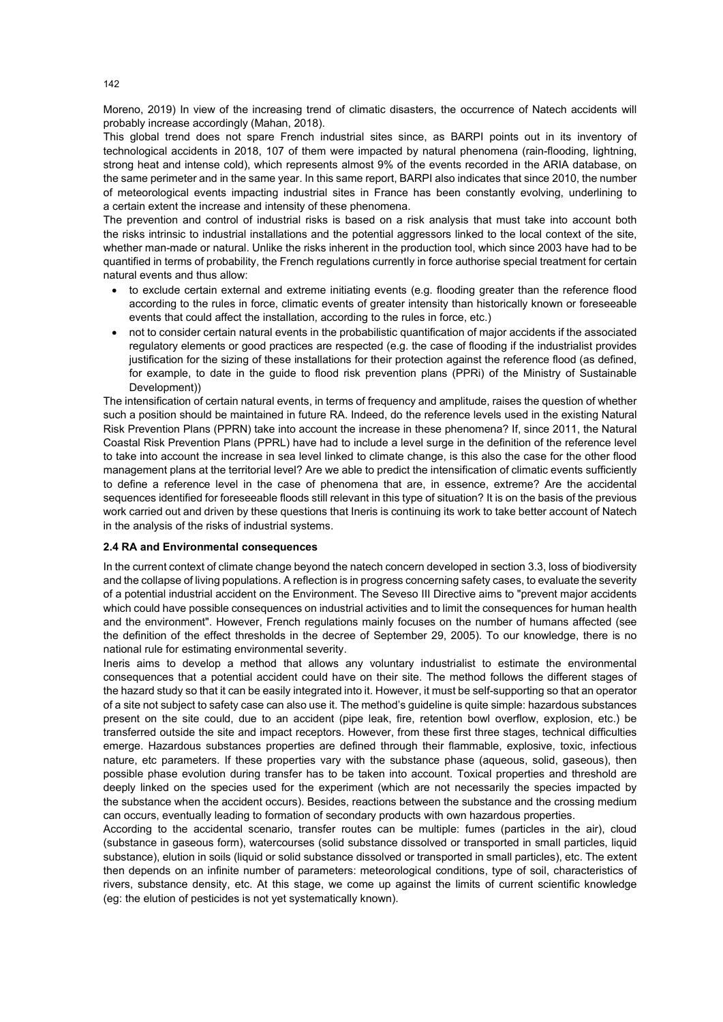Moreno, 2019) In view of the increasing trend of climatic disasters, the occurrence of Natech accidents will probably increase accordingly (Mahan, 2018).

This global trend does not spare French industrial sites since, as BARPI points out in its inventory of technological accidents in 2018, 107 of them were impacted by natural phenomena (rain-flooding, lightning, strong heat and intense cold), which represents almost 9% of the events recorded in the ARIA database, on the same perimeter and in the same year. In this same report, BARPI also indicates that since 2010, the number of meteorological events impacting industrial sites in France has been constantly evolving, underlining to a certain extent the increase and intensity of these phenomena.

The prevention and control of industrial risks is based on a risk analysis that must take into account both the risks intrinsic to industrial installations and the potential aggressors linked to the local context of the site, whether man-made or natural. Unlike the risks inherent in the production tool, which since 2003 have had to be quantified in terms of probability, the French regulations currently in force authorise special treatment for certain natural events and thus allow:

- to exclude certain external and extreme initiating events (e.g. flooding greater than the reference flood according to the rules in force, climatic events of greater intensity than historically known or foreseeable events that could affect the installation, according to the rules in force, etc.)
- not to consider certain natural events in the probabilistic quantification of major accidents if the associated regulatory elements or good practices are respected (e.g. the case of flooding if the industrialist provides justification for the sizing of these installations for their protection against the reference flood (as defined, for example, to date in the guide to flood risk prevention plans (PPRi) of the Ministry of Sustainable Development))

The intensification of certain natural events, in terms of frequency and amplitude, raises the question of whether such a position should be maintained in future RA. Indeed, do the reference levels used in the existing Natural Risk Prevention Plans (PPRN) take into account the increase in these phenomena? If, since 2011, the Natural Coastal Risk Prevention Plans (PPRL) have had to include a level surge in the definition of the reference level to take into account the increase in sea level linked to climate change, is this also the case for the other flood management plans at the territorial level? Are we able to predict the intensification of climatic events sufficiently to define a reference level in the case of phenomena that are, in essence, extreme? Are the accidental sequences identified for foreseeable floods still relevant in this type of situation? It is on the basis of the previous work carried out and driven by these questions that Ineris is continuing its work to take better account of Natech in the analysis of the risks of industrial systems.

#### **2.4 RA and Environmental consequences**

In the current context of climate change beyond the natech concern developed in section 3.3, loss of biodiversity and the collapse of living populations. A reflection is in progress concerning safety cases, to evaluate the severity of a potential industrial accident on the Environment. The Seveso III Directive aims to "prevent major accidents which could have possible consequences on industrial activities and to limit the consequences for human health and the environment". However, French regulations mainly focuses on the number of humans affected (see the definition of the effect thresholds in the decree of September 29, 2005). To our knowledge, there is no national rule for estimating environmental severity.

Ineris aims to develop a method that allows any voluntary industrialist to estimate the environmental consequences that a potential accident could have on their site. The method follows the different stages of the hazard study so that it can be easily integrated into it. However, it must be self-supporting so that an operator of a site not subject to safety case can also use it. The method's guideline is quite simple: hazardous substances present on the site could, due to an accident (pipe leak, fire, retention bowl overflow, explosion, etc.) be transferred outside the site and impact receptors. However, from these first three stages, technical difficulties emerge. Hazardous substances properties are defined through their flammable, explosive, toxic, infectious nature, etc parameters. If these properties vary with the substance phase (aqueous, solid, gaseous), then possible phase evolution during transfer has to be taken into account. Toxical properties and threshold are deeply linked on the species used for the experiment (which are not necessarily the species impacted by the substance when the accident occurs). Besides, reactions between the substance and the crossing medium can occurs, eventually leading to formation of secondary products with own hazardous properties.

According to the accidental scenario, transfer routes can be multiple: fumes (particles in the air), cloud (substance in gaseous form), watercourses (solid substance dissolved or transported in small particles, liquid substance), elution in soils (liquid or solid substance dissolved or transported in small particles), etc. The extent then depends on an infinite number of parameters: meteorological conditions, type of soil, characteristics of rivers, substance density, etc. At this stage, we come up against the limits of current scientific knowledge (eg: the elution of pesticides is not yet systematically known).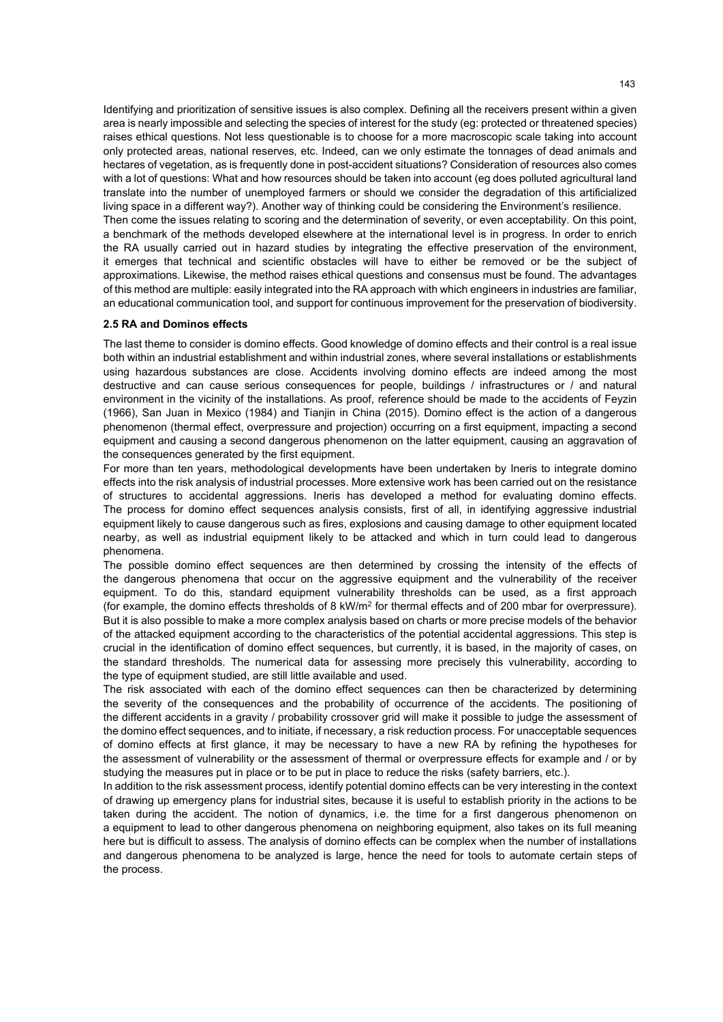Identifying and prioritization of sensitive issues is also complex. Defining all the receivers present within a given area is nearly impossible and selecting the species of interest for the study (eg: protected or threatened species) raises ethical questions. Not less questionable is to choose for a more macroscopic scale taking into account only protected areas, national reserves, etc. Indeed, can we only estimate the tonnages of dead animals and hectares of vegetation, as is frequently done in post-accident situations? Consideration of resources also comes with a lot of questions: What and how resources should be taken into account (eg does polluted agricultural land translate into the number of unemployed farmers or should we consider the degradation of this artificialized living space in a different way?). Another way of thinking could be considering the Environment's resilience.

Then come the issues relating to scoring and the determination of severity, or even acceptability. On this point, a benchmark of the methods developed elsewhere at the international level is in progress. In order to enrich the RA usually carried out in hazard studies by integrating the effective preservation of the environment, it emerges that technical and scientific obstacles will have to either be removed or be the subject of approximations. Likewise, the method raises ethical questions and consensus must be found. The advantages of this method are multiple: easily integrated into the RA approach with which engineers in industries are familiar, an educational communication tool, and support for continuous improvement for the preservation of biodiversity.

## **2.5 RA and Dominos effects**

The last theme to consider is domino effects. Good knowledge of domino effects and their control is a real issue both within an industrial establishment and within industrial zones, where several installations or establishments using hazardous substances are close. Accidents involving domino effects are indeed among the most destructive and can cause serious consequences for people, buildings / infrastructures or / and natural environment in the vicinity of the installations. As proof, reference should be made to the accidents of Feyzin (1966), San Juan in Mexico (1984) and Tianjin in China (2015). Domino effect is the action of a dangerous phenomenon (thermal effect, overpressure and projection) occurring on a first equipment, impacting a second equipment and causing a second dangerous phenomenon on the latter equipment, causing an aggravation of the consequences generated by the first equipment.

For more than ten years, methodological developments have been undertaken by Ineris to integrate domino effects into the risk analysis of industrial processes. More extensive work has been carried out on the resistance of structures to accidental aggressions. Ineris has developed a method for evaluating domino effects. The process for domino effect sequences analysis consists, first of all, in identifying aggressive industrial equipment likely to cause dangerous such as fires, explosions and causing damage to other equipment located nearby, as well as industrial equipment likely to be attacked and which in turn could lead to dangerous phenomena.

The possible domino effect sequences are then determined by crossing the intensity of the effects of the dangerous phenomena that occur on the aggressive equipment and the vulnerability of the receiver equipment. To do this, standard equipment vulnerability thresholds can be used, as a first approach (for example, the domino effects thresholds of 8 kW/m<sup>2</sup> for thermal effects and of 200 mbar for overpressure). But it is also possible to make a more complex analysis based on charts or more precise models of the behavior of the attacked equipment according to the characteristics of the potential accidental aggressions. This step is crucial in the identification of domino effect sequences, but currently, it is based, in the majority of cases, on the standard thresholds. The numerical data for assessing more precisely this vulnerability, according to the type of equipment studied, are still little available and used.

The risk associated with each of the domino effect sequences can then be characterized by determining the severity of the consequences and the probability of occurrence of the accidents. The positioning of the different accidents in a gravity / probability crossover grid will make it possible to judge the assessment of the domino effect sequences, and to initiate, if necessary, a risk reduction process. For unacceptable sequences of domino effects at first glance, it may be necessary to have a new RA by refining the hypotheses for the assessment of vulnerability or the assessment of thermal or overpressure effects for example and / or by studying the measures put in place or to be put in place to reduce the risks (safety barriers, etc.).

In addition to the risk assessment process, identify potential domino effects can be very interesting in the context of drawing up emergency plans for industrial sites, because it is useful to establish priority in the actions to be taken during the accident. The notion of dynamics, i.e. the time for a first dangerous phenomenon on a equipment to lead to other dangerous phenomena on neighboring equipment, also takes on its full meaning here but is difficult to assess. The analysis of domino effects can be complex when the number of installations and dangerous phenomena to be analyzed is large, hence the need for tools to automate certain steps of the process.